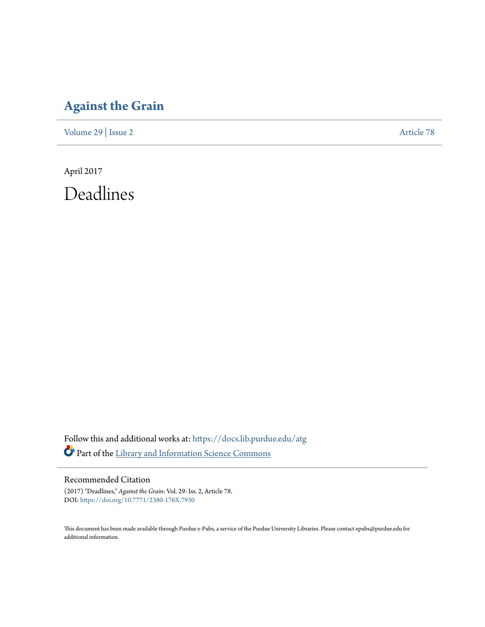### **[Against the Grain](https://docs.lib.purdue.edu/atg?utm_source=docs.lib.purdue.edu%2Fatg%2Fvol29%2Fiss2%2F78&utm_medium=PDF&utm_campaign=PDFCoverPages)**

[Volume 29](https://docs.lib.purdue.edu/atg/vol29?utm_source=docs.lib.purdue.edu%2Fatg%2Fvol29%2Fiss2%2F78&utm_medium=PDF&utm_campaign=PDFCoverPages) | [Issue 2](https://docs.lib.purdue.edu/atg/vol29/iss2?utm_source=docs.lib.purdue.edu%2Fatg%2Fvol29%2Fiss2%2F78&utm_medium=PDF&utm_campaign=PDFCoverPages) [Article 78](https://docs.lib.purdue.edu/atg/vol29/iss2/78?utm_source=docs.lib.purdue.edu%2Fatg%2Fvol29%2Fiss2%2F78&utm_medium=PDF&utm_campaign=PDFCoverPages)

April 2017 Deadlines

Follow this and additional works at: [https://docs.lib.purdue.edu/atg](https://docs.lib.purdue.edu/atg?utm_source=docs.lib.purdue.edu%2Fatg%2Fvol29%2Fiss2%2F78&utm_medium=PDF&utm_campaign=PDFCoverPages) Part of the [Library and Information Science Commons](http://network.bepress.com/hgg/discipline/1018?utm_source=docs.lib.purdue.edu%2Fatg%2Fvol29%2Fiss2%2F78&utm_medium=PDF&utm_campaign=PDFCoverPages)

#### Recommended Citation

(2017) "Deadlines," *Against the Grain*: Vol. 29: Iss. 2, Article 78. DOI: <https://doi.org/10.7771/2380-176X.7930>

This document has been made available through Purdue e-Pubs, a service of the Purdue University Libraries. Please contact epubs@purdue.edu for additional information.